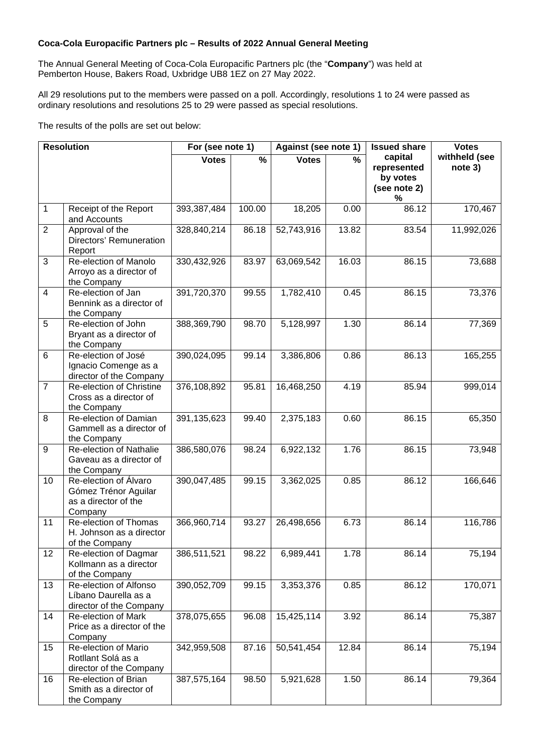## **Coca-Cola Europacific Partners plc – Results of 2022 Annual General Meeting**

The Annual General Meeting of Coca-Cola Europacific Partners plc (the "**Company**") was held at Pemberton House, Bakers Road, Uxbridge UB8 1EZ on 27 May 2022.

All 29 resolutions put to the members were passed on a poll. Accordingly, resolutions 1 to 24 were passed as ordinary resolutions and resolutions 25 to 29 were passed as special resolutions.

The results of the polls are set out below:

| <b>Resolution</b> |                                                                                  | For (see note 1) |        | Against (see note 1) |       | <b>Issued share</b>                                     | <b>Votes</b>             |
|-------------------|----------------------------------------------------------------------------------|------------------|--------|----------------------|-------|---------------------------------------------------------|--------------------------|
|                   |                                                                                  | <b>Votes</b>     | %      | <b>Votes</b>         | $\%$  | capital<br>represented<br>by votes<br>(see note 2)<br>% | withheld (see<br>note 3) |
| 1                 | Receipt of the Report<br>and Accounts                                            | 393,387,484      | 100.00 | 18,205               | 0.00  | 86.12                                                   | 170,467                  |
| $\overline{2}$    | Approval of the<br>Directors' Remuneration<br>Report                             | 328,840,214      | 86.18  | 52,743,916           | 13.82 | 83.54                                                   | 11,992,026               |
| 3                 | Re-election of Manolo<br>Arroyo as a director of<br>the Company                  | 330,432,926      | 83.97  | 63,069,542           | 16.03 | 86.15                                                   | 73,688                   |
| 4                 | Re-election of Jan<br>Bennink as a director of<br>the Company                    | 391,720,370      | 99.55  | 1,782,410            | 0.45  | 86.15                                                   | 73,376                   |
| $\overline{5}$    | Re-election of John<br>Bryant as a director of<br>the Company                    | 388,369,790      | 98.70  | 5,128,997            | 1.30  | 86.14                                                   | 77,369                   |
| 6                 | Re-election of José<br>Ignacio Comenge as a<br>director of the Company           | 390,024,095      | 99.14  | 3,386,806            | 0.86  | 86.13                                                   | 165,255                  |
| $\overline{7}$    | Re-election of Christine<br>Cross as a director of<br>the Company                | 376,108,892      | 95.81  | 16,468,250           | 4.19  | 85.94                                                   | 999,014                  |
| 8                 | Re-election of Damian<br>Gammell as a director of<br>the Company                 | 391,135,623      | 99.40  | 2,375,183            | 0.60  | 86.15                                                   | 65,350                   |
| 9                 | Re-election of Nathalie<br>Gaveau as a director of<br>the Company                | 386,580,076      | 98.24  | 6,922,132            | 1.76  | 86.15                                                   | 73,948                   |
| 10                | Re-election of Álvaro<br>Gómez Trénor Aguilar<br>as a director of the<br>Company | 390,047,485      | 99.15  | 3,362,025            | 0.85  | 86.12                                                   | 166,646                  |
| 11                | Re-election of Thomas<br>H. Johnson as a director<br>of the Company              | 366,960,714      | 93.27  | 26,498,656           | 6.73  | 86.14                                                   | 116,786                  |
| 12                | Re-election of Dagmar<br>Kollmann as a director<br>of the Company                | 386,511,521      | 98.22  | 6,989,441            | 1.78  | 86.14                                                   | 75,194                   |
| 13                | Re-election of Alfonso<br>Líbano Daurella as a<br>director of the Company        | 390,052,709      | 99.15  | 3,353,376            | 0.85  | 86.12                                                   | 170,071                  |
| 14                | Re-election of Mark<br>Price as a director of the<br>Company                     | 378,075,655      | 96.08  | 15,425,114           | 3.92  | 86.14                                                   | 75,387                   |
| 15                | Re-election of Mario<br>Rotllant Solá as a<br>director of the Company            | 342,959,508      | 87.16  | 50,541,454           | 12.84 | 86.14                                                   | 75,194                   |
| 16                | Re-election of Brian<br>Smith as a director of<br>the Company                    | 387,575,164      | 98.50  | 5,921,628            | 1.50  | 86.14                                                   | 79,364                   |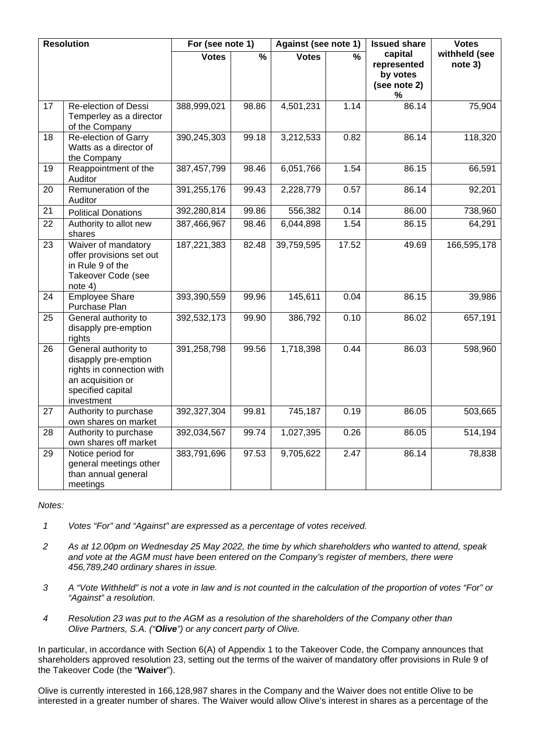| <b>Resolution</b> |                                                                                                                                   | For (see note 1) |               | Against (see note 1) |               | <b>Issued share</b>                                     | <b>Votes</b>             |
|-------------------|-----------------------------------------------------------------------------------------------------------------------------------|------------------|---------------|----------------------|---------------|---------------------------------------------------------|--------------------------|
|                   |                                                                                                                                   | <b>Votes</b>     | $\frac{9}{6}$ | <b>Votes</b>         | $\frac{9}{6}$ | capital<br>represented<br>by votes<br>(see note 2)<br>% | withheld (see<br>note 3) |
| 17                | Re-election of Dessi<br>Temperley as a director<br>of the Company                                                                 | 388,999,021      | 98.86         | 4,501,231            | 1.14          | 86.14                                                   | 75,904                   |
| 18                | Re-election of Garry<br>Watts as a director of<br>the Company                                                                     | 390,245,303      | 99.18         | 3,212,533            | 0.82          | 86.14                                                   | 118,320                  |
| 19                | Reappointment of the<br>Auditor                                                                                                   | 387, 457, 799    | 98.46         | 6,051,766            | 1.54          | 86.15                                                   | 66,591                   |
| 20                | Remuneration of the<br>Auditor                                                                                                    | 391,255,176      | 99.43         | 2,228,779            | 0.57          | 86.14                                                   | 92,201                   |
| 21                | <b>Political Donations</b>                                                                                                        | 392,280,814      | 99.86         | 556,382              | 0.14          | 86.00                                                   | 738,960                  |
| 22                | Authority to allot new<br>shares                                                                                                  | 387,466,967      | 98.46         | 6,044,898            | 1.54          | 86.15                                                   | 64,291                   |
| 23                | Waiver of mandatory<br>offer provisions set out<br>in Rule 9 of the<br>Takeover Code (see<br>note 4)                              | 187,221,383      | 82.48         | 39,759,595           | 17.52         | 49.69                                                   | 166,595,178              |
| 24                | <b>Employee Share</b><br>Purchase Plan                                                                                            | 393,390,559      | 99.96         | 145,611              | 0.04          | 86.15                                                   | 39,986                   |
| 25                | General authority to<br>disapply pre-emption<br>rights                                                                            | 392,532,173      | 99.90         | 386,792              | 0.10          | 86.02                                                   | 657,191                  |
| 26                | General authority to<br>disapply pre-emption<br>rights in connection with<br>an acquisition or<br>specified capital<br>investment | 391,258,798      | 99.56         | 1,718,398            | 0.44          | 86.03                                                   | 598,960                  |
| 27                | Authority to purchase<br>own shares on market                                                                                     | 392,327,304      | 99.81         | 745,187              | 0.19          | 86.05                                                   | 503,665                  |
| 28                | Authority to purchase<br>own shares off market                                                                                    | 392,034,567      | 99.74         | 1,027,395            | 0.26          | 86.05                                                   | 514,194                  |
| 29                | Notice period for<br>general meetings other<br>than annual general<br>meetings                                                    | 383,791,696      | 97.53         | 9,705,622            | 2.47          | 86.14                                                   | 78,838                   |

## *Notes:*

- *1 Votes "For" and "Against" are expressed as a percentage of votes received.*
- *2 As at 12.00pm on Wednesday 25 May 2022, the time by which shareholders who wanted to attend, speak and vote at the AGM must have been entered on the Company's register of members, there were 456,789,240 ordinary shares in issue.*
- *3 A "Vote Withheld" is not a vote in law and is not counted in the calculation of the proportion of votes "For" or "Against" a resolution.*
- *4 Resolution 23 was put to the AGM as a resolution of the shareholders of the Company other than Olive Partners, S.A. ("Olive") or any concert party of Olive.*

In particular, in accordance with Section 6(A) of Appendix 1 to the Takeover Code, the Company announces that shareholders approved resolution 23, setting out the terms of the waiver of mandatory offer provisions in Rule 9 of the Takeover Code (the "**Waiver**").

Olive is currently interested in 166,128,987 shares in the Company and the Waiver does not entitle Olive to be interested in a greater number of shares. The Waiver would allow Olive's interest in shares as a percentage of the